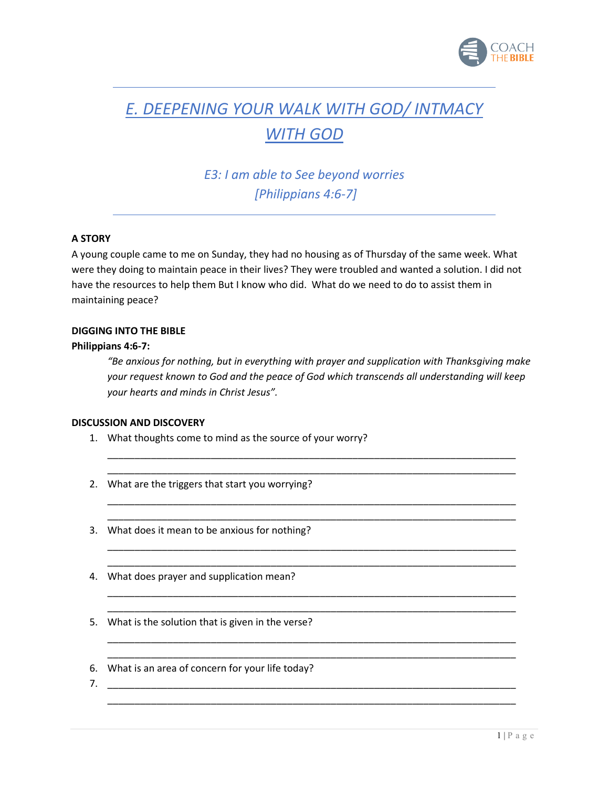

# *E. DEEPENING YOUR WALK WITH GOD/ INTMACY*

## *WITH GOD*

*E3: I am able to See beyond worries [Philippians 4:6-7]*

### **A STORY**

A young couple came to me on Sunday, they had no housing as of Thursday of the same week. What were they doing to maintain peace in their lives? They were troubled and wanted a solution. I did not have the resources to help them But I know who did. What do we need to do to assist them in maintaining peace?

#### **DIGGING INTO THE BIBLE**

#### **Philippians 4:6-7:**

*"Be anxious for nothing, but in everything with prayer and supplication with Thanksgiving make your request known to God and the peace of God which transcends all understanding will keep your hearts and minds in Christ Jesus".* 

\_\_\_\_\_\_\_\_\_\_\_\_\_\_\_\_\_\_\_\_\_\_\_\_\_\_\_\_\_\_\_\_\_\_\_\_\_\_\_\_\_\_\_\_\_\_\_\_\_\_\_\_\_\_\_\_\_\_\_\_\_\_\_\_\_\_\_\_\_\_\_\_\_\_\_ \_\_\_\_\_\_\_\_\_\_\_\_\_\_\_\_\_\_\_\_\_\_\_\_\_\_\_\_\_\_\_\_\_\_\_\_\_\_\_\_\_\_\_\_\_\_\_\_\_\_\_\_\_\_\_\_\_\_\_\_\_\_\_\_\_\_\_\_\_\_\_\_\_\_\_

\_\_\_\_\_\_\_\_\_\_\_\_\_\_\_\_\_\_\_\_\_\_\_\_\_\_\_\_\_\_\_\_\_\_\_\_\_\_\_\_\_\_\_\_\_\_\_\_\_\_\_\_\_\_\_\_\_\_\_\_\_\_\_\_\_\_\_\_\_\_\_\_\_\_\_ \_\_\_\_\_\_\_\_\_\_\_\_\_\_\_\_\_\_\_\_\_\_\_\_\_\_\_\_\_\_\_\_\_\_\_\_\_\_\_\_\_\_\_\_\_\_\_\_\_\_\_\_\_\_\_\_\_\_\_\_\_\_\_\_\_\_\_\_\_\_\_\_\_\_\_

\_\_\_\_\_\_\_\_\_\_\_\_\_\_\_\_\_\_\_\_\_\_\_\_\_\_\_\_\_\_\_\_\_\_\_\_\_\_\_\_\_\_\_\_\_\_\_\_\_\_\_\_\_\_\_\_\_\_\_\_\_\_\_\_\_\_\_\_\_\_\_\_\_\_\_ \_\_\_\_\_\_\_\_\_\_\_\_\_\_\_\_\_\_\_\_\_\_\_\_\_\_\_\_\_\_\_\_\_\_\_\_\_\_\_\_\_\_\_\_\_\_\_\_\_\_\_\_\_\_\_\_\_\_\_\_\_\_\_\_\_\_\_\_\_\_\_\_\_\_\_

\_\_\_\_\_\_\_\_\_\_\_\_\_\_\_\_\_\_\_\_\_\_\_\_\_\_\_\_\_\_\_\_\_\_\_\_\_\_\_\_\_\_\_\_\_\_\_\_\_\_\_\_\_\_\_\_\_\_\_\_\_\_\_\_\_\_\_\_\_\_\_\_\_\_\_ \_\_\_\_\_\_\_\_\_\_\_\_\_\_\_\_\_\_\_\_\_\_\_\_\_\_\_\_\_\_\_\_\_\_\_\_\_\_\_\_\_\_\_\_\_\_\_\_\_\_\_\_\_\_\_\_\_\_\_\_\_\_\_\_\_\_\_\_\_\_\_\_\_\_\_

\_\_\_\_\_\_\_\_\_\_\_\_\_\_\_\_\_\_\_\_\_\_\_\_\_\_\_\_\_\_\_\_\_\_\_\_\_\_\_\_\_\_\_\_\_\_\_\_\_\_\_\_\_\_\_\_\_\_\_\_\_\_\_\_\_\_\_\_\_\_\_\_\_\_\_ \_\_\_\_\_\_\_\_\_\_\_\_\_\_\_\_\_\_\_\_\_\_\_\_\_\_\_\_\_\_\_\_\_\_\_\_\_\_\_\_\_\_\_\_\_\_\_\_\_\_\_\_\_\_\_\_\_\_\_\_\_\_\_\_\_\_\_\_\_\_\_\_\_\_\_

\_\_\_\_\_\_\_\_\_\_\_\_\_\_\_\_\_\_\_\_\_\_\_\_\_\_\_\_\_\_\_\_\_\_\_\_\_\_\_\_\_\_\_\_\_\_\_\_\_\_\_\_\_\_\_\_\_\_\_\_\_\_\_\_\_\_\_\_\_\_\_\_\_\_\_

#### **DISCUSSION AND DISCOVERY**

- 1. What thoughts come to mind as the source of your worry?
- 2. What are the triggers that start you worrying?
- 3. What does it mean to be anxious for nothing?
- 4. What does prayer and supplication mean?
- 5. What is the solution that is given in the verse?
- 6. What is an area of concern for your life today?
- 7. \_\_\_\_\_\_\_\_\_\_\_\_\_\_\_\_\_\_\_\_\_\_\_\_\_\_\_\_\_\_\_\_\_\_\_\_\_\_\_\_\_\_\_\_\_\_\_\_\_\_\_\_\_\_\_\_\_\_\_\_\_\_\_\_\_\_\_\_\_\_\_\_\_\_\_